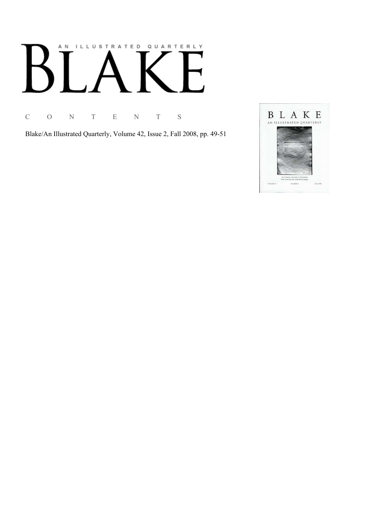# AN ILLUSTRATED QUARTERLY

C O N T E N T S

Blake/An Illustrated Quarterly, Volume 42, Issue 2, Fall 2008, pp. 49-51

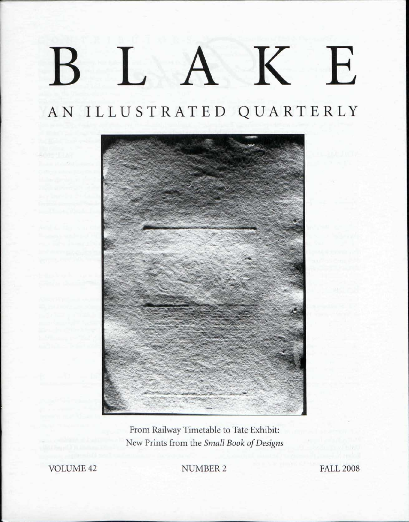## BLAK E AN ILLUSTRATED QUARTERLY



From Railway Timetable to Tate Exhibit: New Prints from the *Small Book of Designs* 

VOLUME 42 NUMBER 2 FALL 2008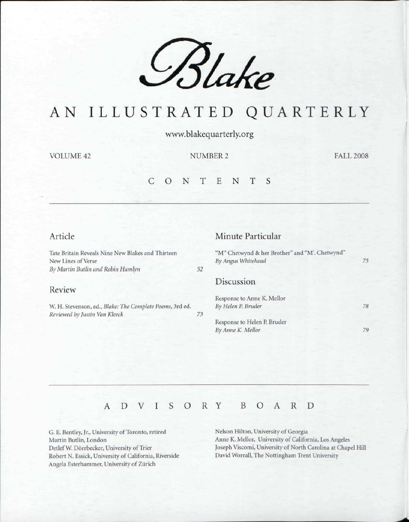

### AN ILLUSTRATED QUARTERLY

www.blakequarterly.org

VOLUME 42

NUMBER 2 FALL 2008

#### CONTENT S

#### Article

Tate Britain Reveals Nine New Blakes and Thirteen New Lines of Verse *By Martin Butlin and Robin Hamlyn 52* 

#### Review

W. H. Stevenson, ed., *Blake: The Complete Poems,* 3rd ed. *Reviewed by Justin Van Kleeck 73* 

#### Minute Particular

|  | "M" Chetwynd & her Brother" and "M'. Chetwynd"<br>By Angus Whitehead | 75 |
|--|----------------------------------------------------------------------|----|
|  | Discussion                                                           |    |
|  | Response to Anne K. Mellor                                           |    |
|  | By Helen P. Bruder                                                   | 78 |
|  | Response to Helen P. Bruder                                          |    |
|  | By Anne K. Mellor                                                    |    |

#### ADVISOR Y BOAR D

G. E. Bentley, Jr., University of Toronto, retired Martin Butlin, London Detlef W. Dorrbecker, University of Trier Robert N. Essick, University of California, Riverside Angela Esterhammer, University of Zurich

Nelson Hilton, University of Georgia Anne K. Mellor, University of California, Los Angeles Joseph Viscomi, University of North Carolina at Chapel Hill David Worrall, The Nottingham Trent University